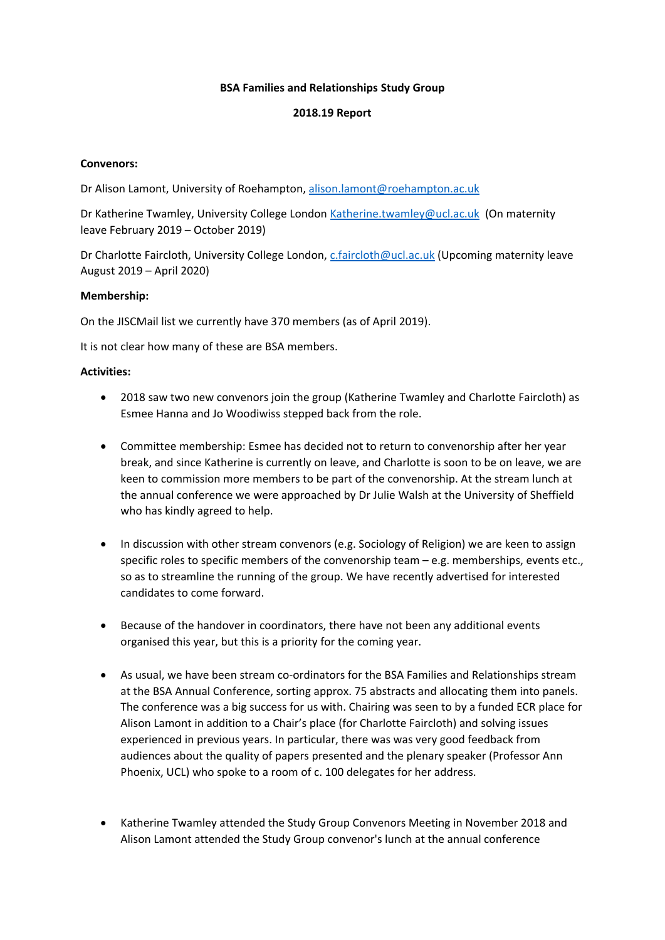## **BSA Families and Relationships Study Group**

### **2018.19 Report**

## **Convenors:**

Dr Alison Lamont, University of Roehampton, alison.lamont@roehampton.ac.uk

Dr Katherine Twamley, University College London Katherine.twamley@ucl.ac.uk (On maternity leave February 2019 – October 2019)

Dr Charlotte Faircloth, University College London, c.faircloth@ucl.ac.uk (Upcoming maternity leave August 2019 – April 2020)

# **Membership:**

On the JISCMail list we currently have 370 members (as of April 2019).

It is not clear how many of these are BSA members.

## **Activities:**

- 2018 saw two new convenors join the group (Katherine Twamley and Charlotte Faircloth) as Esmee Hanna and Jo Woodiwiss stepped back from the role.
- Committee membership: Esmee has decided not to return to convenorship after her year break, and since Katherine is currently on leave, and Charlotte is soon to be on leave, we are keen to commission more members to be part of the convenorship. At the stream lunch at the annual conference we were approached by Dr Julie Walsh at the University of Sheffield who has kindly agreed to help.
- In discussion with other stream convenors (e.g. Sociology of Religion) we are keen to assign specific roles to specific members of the convenorship team  $-e.g.$  memberships, events etc., so as to streamline the running of the group. We have recently advertised for interested candidates to come forward.
- Because of the handover in coordinators, there have not been any additional events organised this year, but this is a priority for the coming year.
- As usual, we have been stream co-ordinators for the BSA Families and Relationships stream at the BSA Annual Conference, sorting approx. 75 abstracts and allocating them into panels. The conference was a big success for us with. Chairing was seen to by a funded ECR place for Alison Lamont in addition to a Chair's place (for Charlotte Faircloth) and solving issues experienced in previous years. In particular, there was was very good feedback from audiences about the quality of papers presented and the plenary speaker (Professor Ann Phoenix, UCL) who spoke to a room of c. 100 delegates for her address.
- Katherine Twamley attended the Study Group Convenors Meeting in November 2018 and Alison Lamont attended the Study Group convenor's lunch at the annual conference